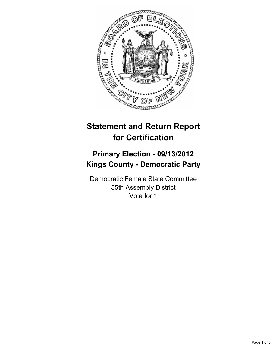

## **Statement and Return Report for Certification**

## **Primary Election - 09/13/2012 Kings County - Democratic Party**

Democratic Female State Committee 55th Assembly District Vote for 1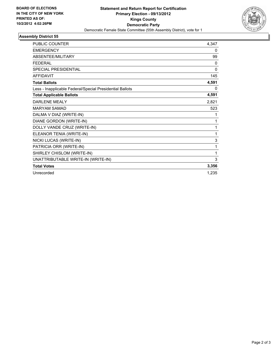

## **Assembly District 55**

| <b>PUBLIC COUNTER</b>                                    | 4,347        |
|----------------------------------------------------------|--------------|
| <b>EMERGENCY</b>                                         | 0            |
| ABSENTEE/MILITARY                                        | 99           |
| <b>FEDERAL</b>                                           | 0            |
| <b>SPECIAL PRESIDENTIAL</b>                              | $\mathbf{0}$ |
| <b>AFFIDAVIT</b>                                         | 145          |
| <b>Total Ballots</b>                                     | 4,591        |
| Less - Inapplicable Federal/Special Presidential Ballots | 0            |
| <b>Total Applicable Ballots</b>                          | 4,591        |
| <b>DARLENE MEALY</b>                                     | 2,821        |
| <b>MARYAM SAMAD</b>                                      | 523          |
| DALMA V DIAZ (WRITE-IN)                                  | 1            |
| DIANE GORDON (WRITE-IN)                                  | 1            |
| DOLLY VANDE CRUZ (WRITE-IN)                              | 1            |
| ELEANOR TENIA (WRITE-IN)                                 | 1            |
| NICKI LUCAS (WRITE-IN)                                   | 3            |
| PATRICIA ORR (WRITE-IN)                                  | 1            |
| SHIRLEY CHISLOM (WRITE-IN)                               | 1            |
| UNATTRIBUTABLE WRITE-IN (WRITE-IN)                       | 3            |
| <b>Total Votes</b>                                       | 3,356        |
| Unrecorded                                               | 1,235        |